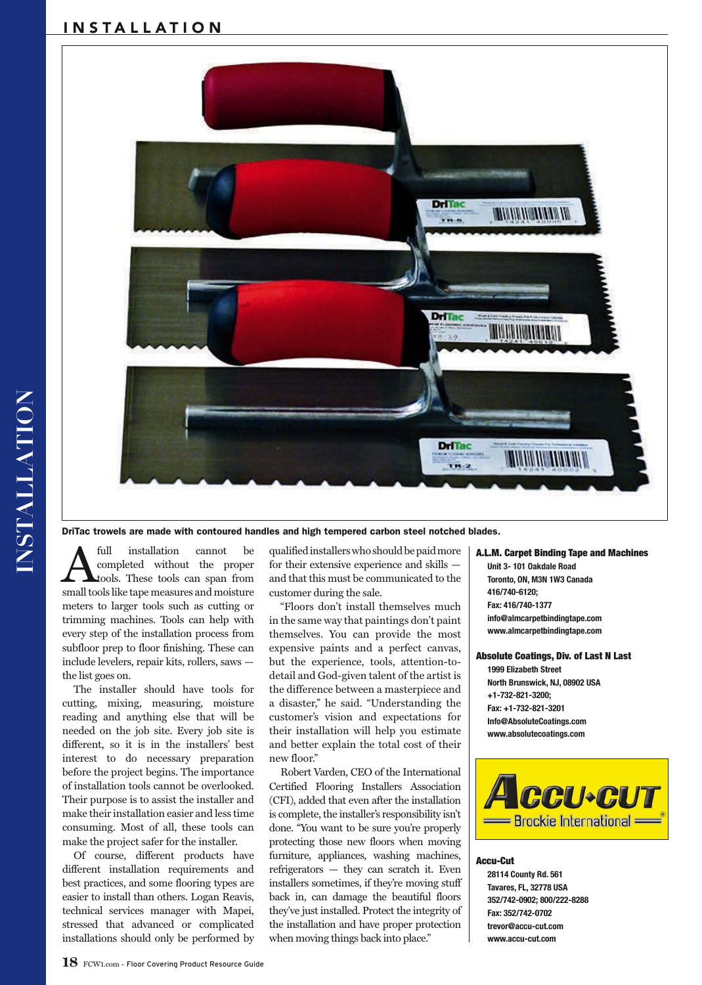# INSTALLATION



DriTac trowels are made with contoured handles and high tempered carbon steel notched blades.

A full installation cannot be<br>completed without the proper<br>small tools like tane measures and moisture completed without the proper tools. These tools can span from small tools like tape measures and moisture meters to larger tools such as cutting or trimming machines. Tools can help with every step of the installation process from subfloor prep to floor finishing. These can include levelers, repair kits, rollers, saws the list goes on.

The installer should have tools for cutting, mixing, measuring, moisture reading and anything else that will be needed on the job site. Every job site is different, so it is in the installers' best interest to do necessary preparation before the project begins. The importance of installation tools cannot be overlooked. Their purpose is to assist the installer and make their installation easier and less time consuming. Most of all, these tools can make the project safer for the installer.

Of course, different products have different installation requirements and best practices, and some flooring types are easier to install than others. Logan Reavis, technical services manager with Mapei, stressed that advanced or complicated installations should only be performed by qualified installers who should be paid more for their extensive experience and skills and that this must be communicated to the customer during the sale.

"Floors don't install themselves much in the same way that paintings don't paint themselves. You can provide the most expensive paints and a perfect canvas, but the experience, tools, attention-todetail and God-given talent of the artist is the difference between a masterpiece and a disaster," he said. "Understanding the customer's vision and expectations for their installation will help you estimate and better explain the total cost of their new floor."

Robert Varden, CEO of the International Certified Flooring Installers Association (CFI), added that even after the installation is complete, the installer's responsibility isn't done. "You want to be sure you're properly protecting those new floors when moving furniture, appliances, washing machines, refrigerators — they can scratch it. Even installers sometimes, if they're moving stuff back in, can damage the beautiful floors they've just installed. Protect the integrity of the installation and have proper protection when moving things back into place."

A.L.M. Carpet Binding Tape and Machines **Unit 3- 101 Oakdale Road Toronto, ON, M3N 1W3 Canada 416/740-6120; Fax: 416/740-1377 info@almcarpetbindingtape.com www.almcarpetbindingtape.com**

Absolute Coatings, Div. of Last N Last **1999 Elizabeth Street North Brunswick, NJ, 08902 USA +1-732-821-3200; Fax: +1-732-821-3201 Info@AbsoluteCoatings.com www.absolutecoatings.com**



## Accu-Cut

**28114 County Rd. 561 Tavares, FL, 32778 USA 352/742-0902; 800/222-8288 Fax: 352/742-0702 trevor@accu-cut.com www.accu-cut.com**